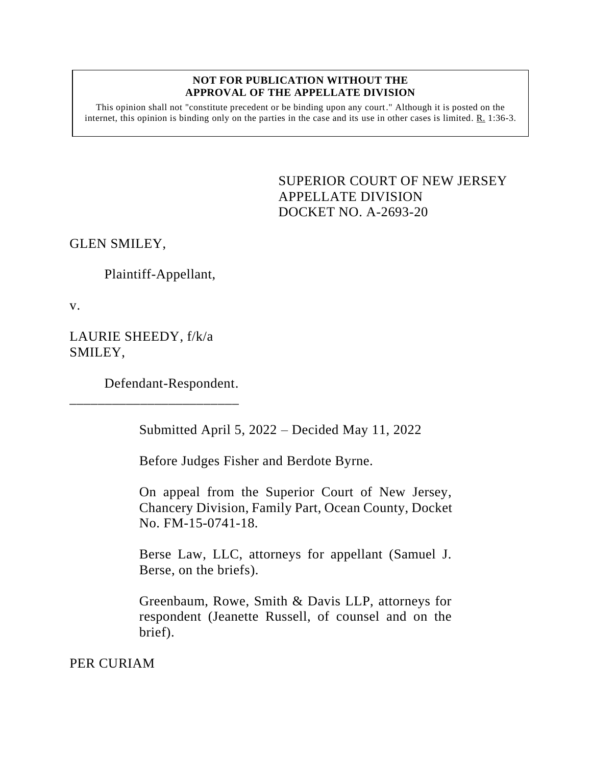## **NOT FOR PUBLICATION WITHOUT THE APPROVAL OF THE APPELLATE DIVISION**

This opinion shall not "constitute precedent or be binding upon any court." Although it is posted on the internet, this opinion is binding only on the parties in the case and its use in other cases is limited. R. 1:36-3.

> <span id="page-0-0"></span>SUPERIOR COURT OF NEW JERSEY APPELLATE DIVISION DOCKET NO. A-2693-20

GLEN SMILEY,

Plaintiff-Appellant,

v.

LAURIE SHEEDY, f/k/a SMILEY,

Defendant-Respondent.

\_\_\_\_\_\_\_\_\_\_\_\_\_\_\_\_\_\_\_\_\_\_\_\_

Submitted April 5, 2022 – Decided May 11, 2022

Before Judges Fisher and Berdote Byrne.

On appeal from the Superior Court of New Jersey, Chancery Division, Family Part, Ocean County, Docket No. FM-15-0741-18.

Berse Law, LLC, attorneys for appellant (Samuel J. Berse, on the briefs).

Greenbaum, Rowe, Smith & Davis LLP, attorneys for respondent (Jeanette Russell, of counsel and on the brief).

PER CURIAM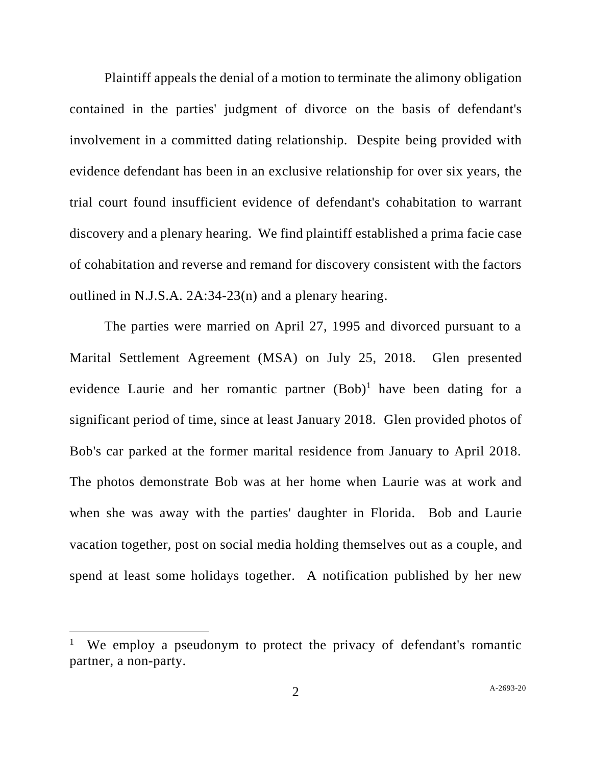Plaintiff appeals the denial of a motion to terminate the alimony obligation contained in the parties' judgment of divorce on the basis of defendant's involvement in a committed dating relationship. Despite being provided with evidence defendant has been in an exclusive relationship for over six years, the trial court found insufficient evidence of defendant's cohabitation to warrant discovery and a plenary hearing. We find plaintiff established a prima facie case of cohabitation and reverse and remand for discovery consistent with the factors outlined in N.J.S.A. 2A:34-23(n) and a plenary hearing.

The parties were married on April 27, 1995 and divorced pursuant to a Marital Settlement Agreement (MSA) on July 25, 2018. Glen presented evidence Laurie and her romantic partner  $(Bob)^1$  have been dating for a significant period of time, since at least January 2018. Glen provided photos of Bob's car parked at the former marital residence from January to April 2018. The photos demonstrate Bob was at her home when Laurie was at work and when she was away with the parties' daughter in Florida. Bob and Laurie vacation together, post on social media holding themselves out as a couple, and spend at least some holidays together. A notification published by her new

<sup>1</sup> We employ a pseudonym to protect the privacy of defendant's romantic partner, a non-party.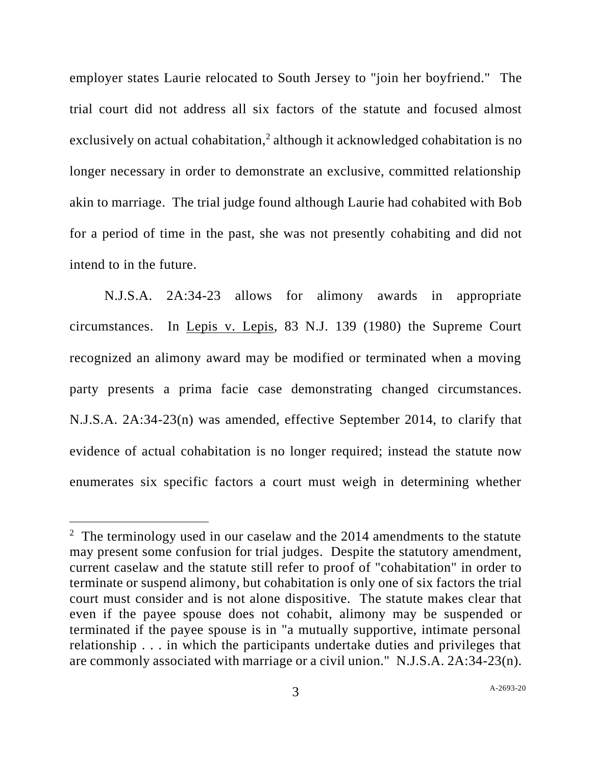employer states Laurie relocated to South Jersey to "join her boyfriend." The trial court did not address all six factors of the statute and focused almost exclusively on actual cohabitation,<sup>2</sup> although it acknowledged cohabitation is no longer necessary in order to demonstrate an exclusive, committed relationship akin to marriage. The trial judge found although Laurie had cohabited with Bob for a period of time in the past, she was not presently cohabiting and did not intend to in the future.

N.J.S.A. 2A:34-23 allows for alimony awards in appropriate circumstances. In Lepis v. Lepis, 83 N.J. 139 (1980) the Supreme Court recognized an alimony award may be modified or terminated when a moving party presents a prima facie case demonstrating changed circumstances. N.J.S.A. 2A:34-23(n) was amended, effective September 2014, to clarify that evidence of actual cohabitation is no longer required; instead the statute now enumerates six specific factors a court must weigh in determining whether

<sup>&</sup>lt;sup>2</sup> The terminology used in our caselaw and the  $2014$  amendments to the statute may present some confusion for trial judges. Despite the statutory amendment, current caselaw and the statute still refer to proof of "cohabitation" in order to terminate or suspend alimony, but cohabitation is only one of six factors the trial court must consider and is not alone dispositive. The statute makes clear that even if the payee spouse does not cohabit, alimony may be suspended or terminated if the payee spouse is in "a mutually supportive, intimate personal relationship . . . in which the participants undertake duties and privileges that are commonly associated with marriage or a civil union." N.J.S.A. 2A:34-23(n).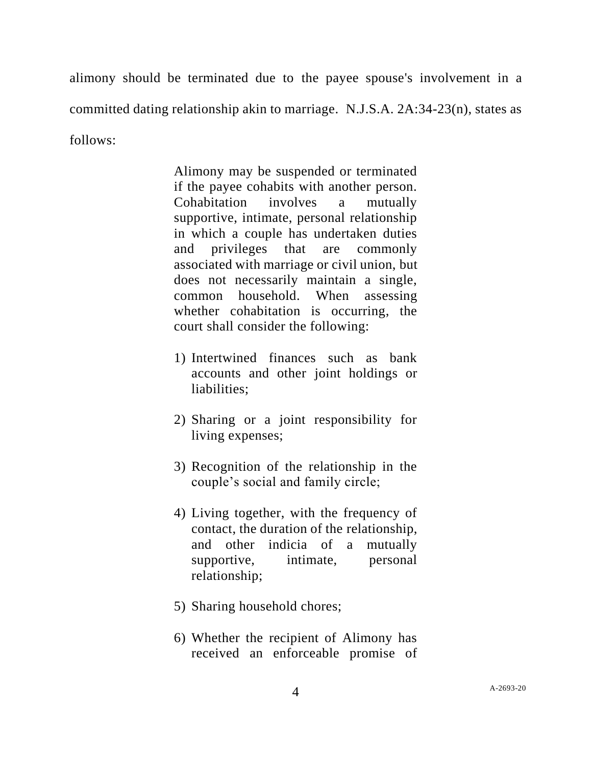alimony should be terminated due to the payee spouse's involvement in a committed dating relationship akin to marriage. N.J.S.A. 2A:34-23(n), states as follows:

> Alimony may be suspended or terminated if the payee cohabits with another person. Cohabitation involves a mutually supportive, intimate, personal relationship in which a couple has undertaken duties and privileges that are commonly associated with marriage or civil union, but does not necessarily maintain a single, common household. When assessing whether cohabitation is occurring, the court shall consider the following:

- 1) Intertwined finances such as bank accounts and other joint holdings or liabilities;
- 2) Sharing or a joint responsibility for living expenses;
- 3) Recognition of the relationship in the couple's social and family circle;
- 4) Living together, with the frequency of contact, the duration of the relationship, and other indicia of a mutually supportive, intimate, personal relationship;
- 5) Sharing household chores;
- 6) Whether the recipient of Alimony has received an enforceable promise of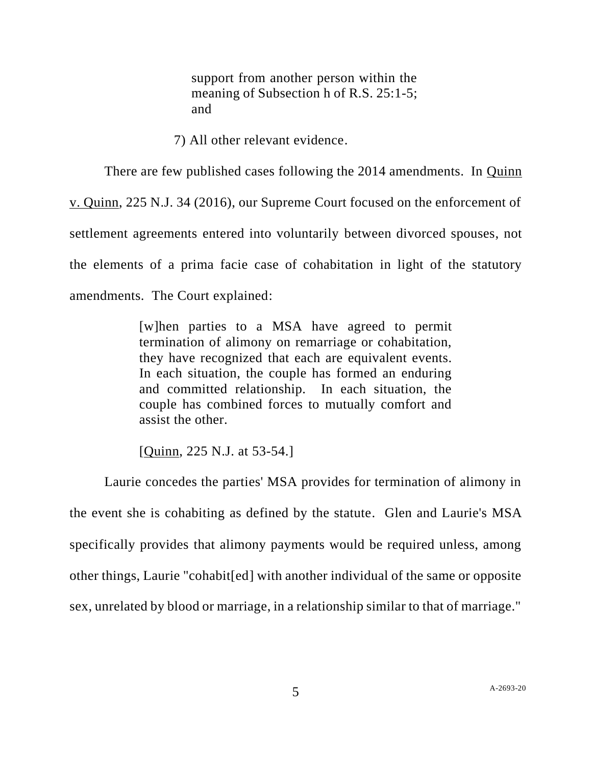support from another person within the meaning of Subsection h of R.S. 25:1-5; and

7) All other relevant evidence.

There are few published cases following the 2014 amendments. In Quinn v. Quinn, 225 N.J. 34 (2016), our Supreme Court focused on the enforcement of settlement agreements entered into voluntarily between divorced spouses, not the elements of a prima facie case of cohabitation in light of the statutory amendments. The Court explained:

> [w]hen parties to a MSA have agreed to permit termination of alimony on remarriage or cohabitation, they have recognized that each are equivalent events. In each situation, the couple has formed an enduring and committed relationship. In each situation, the couple has combined forces to mutually comfort and assist the other.

[Quinn, 225 N.J. at 53-54.]

Laurie concedes the parties' MSA provides for termination of alimony in the event she is cohabiting as defined by the statute. Glen and Laurie's MSA specifically provides that alimony payments would be required unless, among other things, Laurie "cohabit[ed] with another individual of the same or opposite sex, unrelated by blood or marriage, in a relationship similar to that of marriage."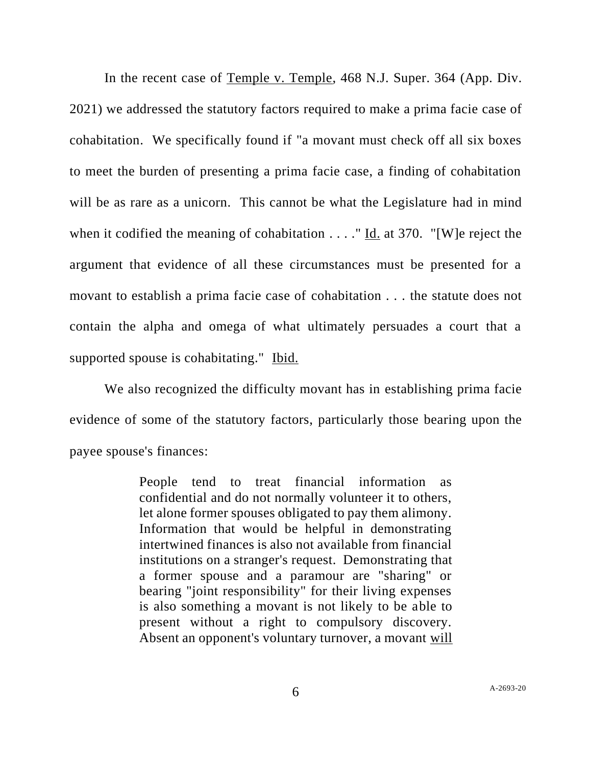In the recent case of Temple v. Temple, 468 N.J. Super. 364 (App. Div. 2021) we addressed the statutory factors required to make a prima facie case of cohabitation. We specifically found if "a movant must check off all six boxes to meet the burden of presenting a prima facie case, a finding of cohabitation will be as rare as a unicorn. This cannot be what the Legislature had in mind when it codified the meaning of cohabitation . . . ." Id. at 370. "[W]e reject the argument that evidence of all these circumstances must be presented for a movant to establish a prima facie case of cohabitation . . . the statute does not contain the alpha and omega of what ultimately persuades a court that a supported spouse is cohabitating." Ibid.

We also recognized the difficulty movant has in establishing prima facie evidence of some of the statutory factors, particularly those bearing upon the payee spouse's finances:

> People tend to treat financial information as confidential and do not normally volunteer it to others, let alone former spouses obligated to pay them alimony. Information that would be helpful in demonstrating intertwined finances is also not available from financial institutions on a stranger's request. Demonstrating that a former spouse and a paramour are "sharing" or bearing "joint responsibility" for their living expenses is also something a movant is not likely to be able to present without a right to compulsory discovery. Absent an opponent's voluntary turnover, a movant will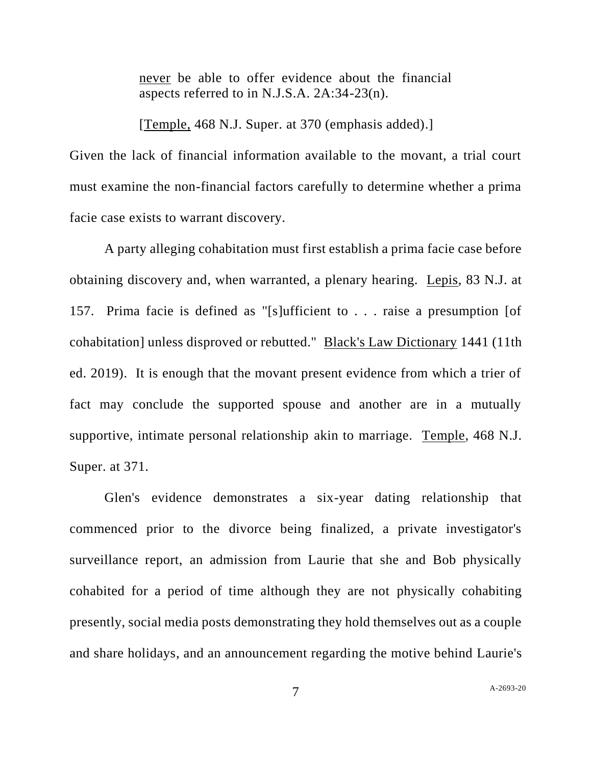never be able to offer evidence about the financial aspects referred to in N.J.S.A. 2A:34-23(n).

[Temple, 468 N.J. Super. at 370 (emphasis added).]

Given the lack of financial information available to the movant, a trial court must examine the non-financial factors carefully to determine whether a prima facie case exists to warrant discovery.

A party alleging cohabitation must first establish a prima facie case before obtaining discovery and, when warranted, a plenary hearing. Lepis, 83 N.J. at 157. Prima facie is defined as "[s]ufficient to . . . raise a presumption [of cohabitation] unless disproved or rebutted." Black's Law Dictionary 1441 (11th ed. 2019). It is enough that the movant present evidence from which a trier of fact may conclude the supported spouse and another are in a mutually supportive, intimate personal relationship akin to marriage. Temple, 468 N.J. Super. at 371.

Glen's evidence demonstrates a six-year dating relationship that commenced prior to the divorce being finalized, a private investigator's surveillance report, an admission from Laurie that she and Bob physically cohabited for a period of time although they are not physically cohabiting presently, social media posts demonstrating they hold themselves out as a couple and share holidays, and an announcement regarding the motive behind Laurie's

A[-2693-20](#page-0-0)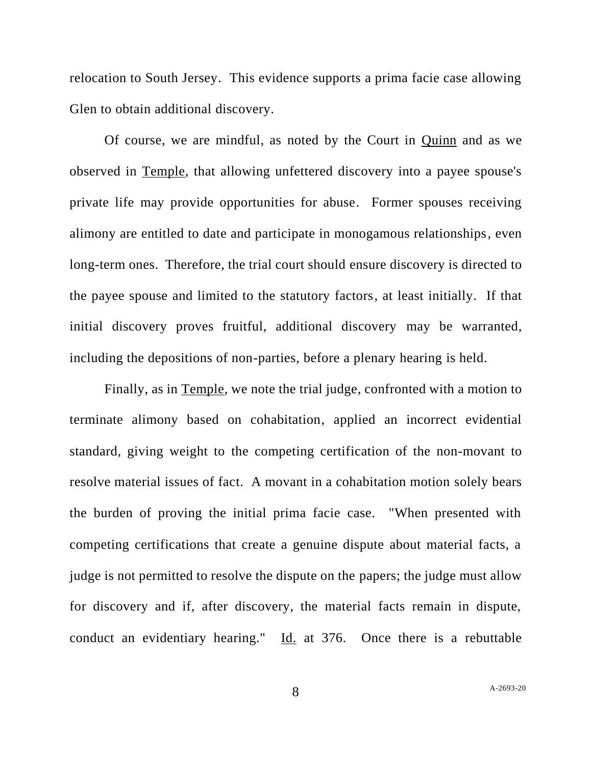relocation to South Jersey. This evidence supports a prima facie case allowing Glen to obtain additional discovery.

Of course, we are mindful, as noted by the Court in Quinn and as we observed in Temple, that allowing unfettered discovery into a payee spouse's private life may provide opportunities for abuse. Former spouses receiving alimony are entitled to date and participate in monogamous relationships, even long-term ones. Therefore, the trial court should ensure discovery is directed to the payee spouse and limited to the statutory factors, at least initially. If that initial discovery proves fruitful, additional discovery may be warranted, including the depositions of non-parties, before a plenary hearing is held.

Finally, as in Temple, we note the trial judge, confronted with a motion to terminate alimony based on cohabitation, applied an incorrect evidential standard, giving weight to the competing certification of the non-movant to resolve material issues of fact. A movant in a cohabitation motion solely bears the burden of proving the initial prima facie case. "When presented with competing certifications that create a genuine dispute about material facts, a judge is not permitted to resolve the dispute on the papers; the judge must allow for discovery and if, after discovery, the material facts remain in dispute, conduct an evidentiary hearing." Id. at 376. Once there is a rebuttable

8